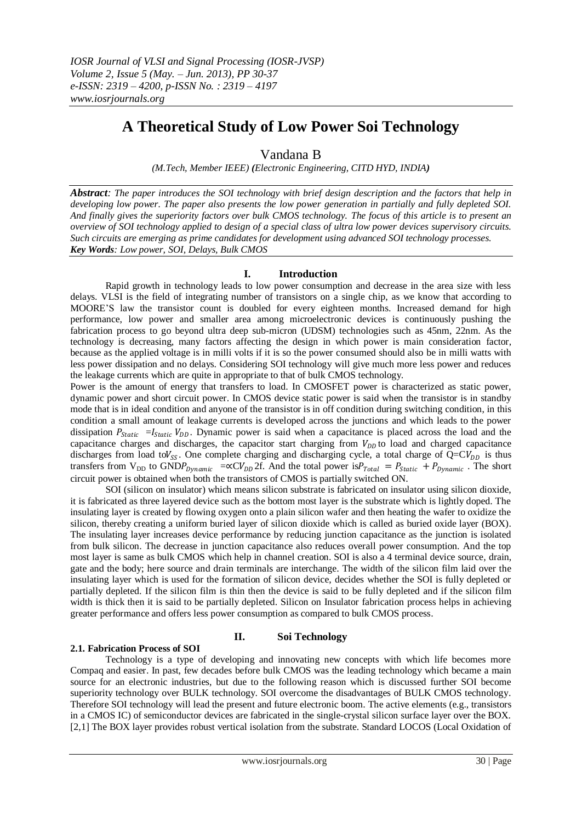# **A Theoretical Study of Low Power Soi Technology**

# Vandana B

*(M.Tech, Member IEEE) (Electronic Engineering, CITD HYD, INDIA)*

*Abstract: The paper introduces the SOI technology with brief design description and the factors that help in developing low power. The paper also presents the low power generation in partially and fully depleted SOI. And finally gives the superiority factors over bulk CMOS technology. The focus of this article is to present an overview of SOI technology applied to design of a special class of ultra low power devices supervisory circuits. Such circuits are emerging as prime candidates for development using advanced SOI technology processes. Key Words: Low power, SOI, Delays, Bulk CMOS*

## **I. Introduction**

Rapid growth in technology leads to low power consumption and decrease in the area size with less delays. VLSI is the field of integrating number of transistors on a single chip, as we know that according to MOORE"S law the transistor count is doubled for every eighteen months. Increased demand for high performance, low power and smaller area among microelectronic devices is continuously pushing the fabrication process to go beyond ultra deep sub-micron (UDSM) technologies such as 45nm, 22nm. As the technology is decreasing, many factors affecting the design in which power is main consideration factor, because as the applied voltage is in milli volts if it is so the power consumed should also be in milli watts with less power dissipation and no delays. Considering SOI technology will give much more less power and reduces the leakage currents which are quite in appropriate to that of bulk CMOS technology.

Power is the amount of energy that transfers to load. In CMOSFET power is characterized as static power, dynamic power and short circuit power. In CMOS device static power is said when the transistor is in standby mode that is in ideal condition and anyone of the transistor is in off condition during switching condition, in this condition a small amount of leakage currents is developed across the junctions and which leads to the power dissipation  $P_{static} = I_{static} V_{DD}$ . Dynamic power is said when a capacitance is placed across the load and the capacitance charges and discharges, the capacitor start charging from  $V_{DD}$  to load and charged capacitance discharges from load to  $V_{SS}$ . One complete charging and discharging cycle, a total charge of  $Q=CV_{DD}$  is thus transfers from  $V_{DD}$  to  $GNDP_{Dynamic} = \alpha CV_{DD}2f$ . And the total power is  $P_{Total} = P_{Static} + P_{Dynamic}$ . The short circuit power is obtained when both the transistors of CMOS is partially switched ON.

SOI (silicon on insulator) which means silicon substrate is fabricated on insulator using silicon dioxide, it is fabricated as three layered device such as the bottom most layer is the substrate which is lightly doped. The insulating layer is created by flowing oxygen onto a plain silicon wafer and then heating the wafer to oxidize the silicon, thereby creating a uniform buried layer of silicon dioxide which is called as buried oxide layer (BOX). The insulating layer increases device performance by reducing junction capacitance as the junction is isolated from bulk silicon. The decrease in junction capacitance also reduces overall power consumption. And the top most layer is same as bulk CMOS which help in channel creation. SOI is also a 4 terminal device source, drain, gate and the body; here source and drain terminals are interchange. The width of the silicon film laid over the insulating layer which is used for the formation of silicon device, decides whether the SOI is fully depleted or partially depleted. If the silicon film is thin then the device is said to be fully depleted and if the silicon film width is thick then it is said to be partially depleted. Silicon on Insulator fabrication process helps in achieving greater performance and offers less power consumption as compared to bulk CMOS process.

## **2.1. Fabrication Process of SOI**

# **II. Soi Technology**

Technology is a type of developing and innovating new concepts with which life becomes more Compaq and easier. In past, few decades before bulk CMOS was the leading technology which became a main source for an electronic industries, but due to the following reason which is discussed further SOI become superiority technology over BULK technology. SOI overcome the disadvantages of BULK CMOS technology. Therefore SOI technology will lead the present and future electronic boom. The active elements (e.g., transistors in a CMOS IC) of semiconductor devices are fabricated in the single-crystal silicon surface layer over the BOX. [2,1] The BOX layer provides robust vertical isolation from the substrate. Standard LOCOS (Local Oxidation of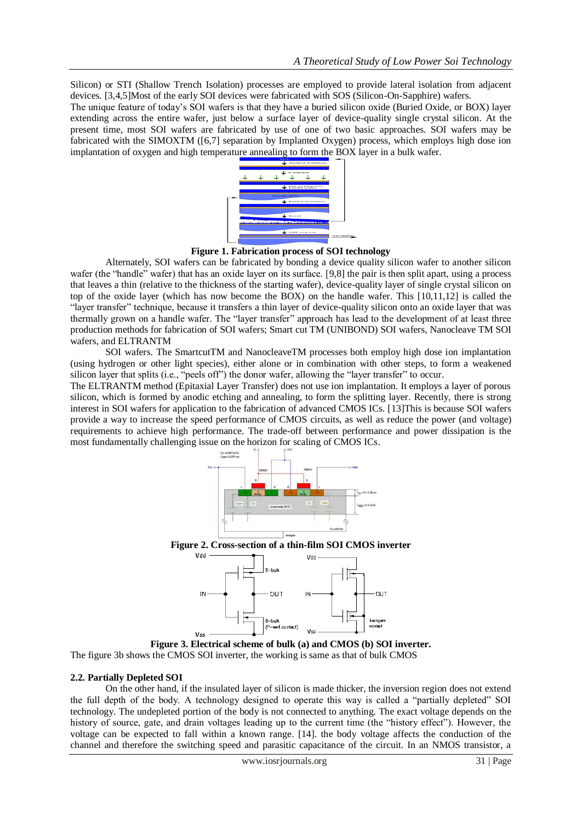Silicon) or STI (Shallow Trench Isolation) processes are employed to provide lateral isolation from adjacent devices. [3,4,5]Most of the early SOI devices were fabricated with SOS (Silicon-On-Sapphire) wafers.

The unique feature of today"s SOI wafers is that they have a buried silicon oxide (Buried Oxide, or BOX) layer extending across the entire wafer, just below a surface layer of device-quality single crystal silicon. At the present time, most SOI wafers are fabricated by use of one of two basic approaches. SOI wafers may be fabricated with the SIMOXTM ([6,7] separation by Implanted Oxygen) process, which employs high dose ion implantation of oxygen and high temperature annealing to form the BOX layer in a bulk wafer.



**Figure 1. Fabrication process of SOI technology**

Alternately, SOI wafers can be fabricated by bonding a device quality silicon wafer to another silicon wafer (the "handle" wafer) that has an oxide layer on its surface. [9,8] the pair is then split apart, using a process that leaves a thin (relative to the thickness of the starting wafer), device-quality layer of single crystal silicon on top of the oxide layer (which has now become the BOX) on the handle wafer. This [10,11,12] is called the "layer transfer" technique, because it transfers a thin layer of device-quality silicon onto an oxide layer that was thermally grown on a handle wafer. The "layer transfer" approach has lead to the development of at least three production methods for fabrication of SOI wafers; Smart cut TM (UNIBOND) SOI wafers, Nanocleave TM SOI wafers, and ELTRANTM

SOI wafers. The SmartcutTM and NanocleaveTM processes both employ high dose ion implantation (using hydrogen or other light species), either alone or in combination with other steps, to form a weakened silicon layer that splits (i.e., "peels off") the donor wafer, allowing the "layer transfer" to occur.

The ELTRANTM method (Epitaxial Layer Transfer) does not use ion implantation. It employs a layer of porous silicon, which is formed by anodic etching and annealing, to form the splitting layer. Recently, there is strong interest in SOI wafers for application to the fabrication of advanced CMOS ICs. [13]This is because SOI wafers provide a way to increase the speed performance of CMOS circuits, as well as reduce the power (and voltage) requirements to achieve high performance. The trade-off between performance and power dissipation is the most fundamentally challenging issue on the horizon for scaling of CMOS ICs.



**Figure 3. Electrical scheme of bulk (a) and CMOS (b) SOI inverter.**

The figure 3b shows the CMOS SOI inverter, the working is same as that of bulk CMOS

## **2.2. Partially Depleted SOI**

On the other hand, if the insulated layer of silicon is made thicker, the inversion region does not extend the full depth of the body. A technology designed to operate this way is called a "partially depleted" SOI technology. The undepleted portion of the body is not connected to anything. The exact voltage depends on the history of source, gate, and drain voltages leading up to the current time (the "history effect"). However, the voltage can be expected to fall within a known range. [14]. the body voltage affects the conduction of the channel and therefore the switching speed and parasitic capacitance of the circuit. In an NMOS transistor, a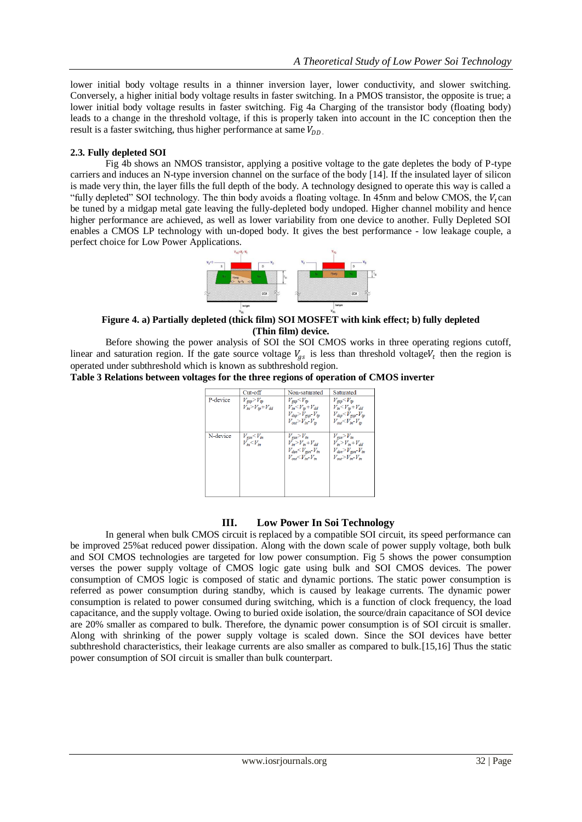lower initial body voltage results in a thinner inversion layer, lower conductivity, and slower switching. Conversely, a higher initial body voltage results in faster switching. In a PMOS transistor, the opposite is true; a lower initial body voltage results in faster switching. Fig 4a Charging of the transistor body (floating body) leads to a change in the threshold voltage, if this is properly taken into account in the IC conception then the result is a faster switching, thus higher performance at same  $V_{DD}$ .

# **2.3. Fully depleted SOI**

Fig 4b shows an NMOS transistor, applying a positive voltage to the gate depletes the body of P-type carriers and induces an N-type inversion channel on the surface of the body [14]. If the insulated layer of silicon is made very thin, the layer fills the full depth of the body. A technology designed to operate this way is called a "fully depleted" SOI technology. The thin body avoids a floating voltage. In 45nm and below CMOS, the  $V_t$ can be tuned by a midgap metal gate leaving the fully-depleted body undoped. Higher channel mobility and hence higher performance are achieved, as well as lower variability from one device to another. Fully Depleted SOI enables a CMOS LP technology with un-doped body. It gives the best performance - low leakage couple, a perfect choice for Low Power Applications.



# **Figure 4. a) Partially depleted (thick film) SOI MOSFET with kink effect; b) fully depleted (Thin film) device.**

Before showing the power analysis of SOI the SOI CMOS works in three operating regions cutoff, linear and saturation region. If the gate source voltage  $V_{gs}$  is less than threshold voltage $V_t$  then the region is operated under subthreshold which is known as subthreshold region.

**Table 3 Relations between voltages for the three regions of operation of CMOS inverter**

|          | Cut-off                                                            | Non-saturated                                                                                                                                  | Saturated                                                                                                                                           |
|----------|--------------------------------------------------------------------|------------------------------------------------------------------------------------------------------------------------------------------------|-----------------------------------------------------------------------------------------------------------------------------------------------------|
| P-device | $V_{\text{csp}}$ $>$ $V_{\text{tp}}$<br>$V_{in} > V_{tp} + V_{dd}$ | $V_{\rm gsp}$ $<$ $V_{\rm tp}$<br>$V_{in} < V_{tp} + V_{dd}$<br>$V_{dsp}$ $>$ $V_{\text{e}ssp}$ $\sim$ $V_{tp}$<br>$V_{out} > V_{in} - V_{in}$ | $V_{\rm gsp}$ $<$ $V_{\rm tp}$<br>$V_{in}$ $\leq$ $V_{tp}$ + $V_{dd}$<br>$V_{dsp}$ $\lt V_{\text{e}5p}$ - $V_{tp}$<br>$V_{out} < V_{in}$ - $V_{in}$ |
| N-device | $V_{\text{esn}} < V_{\text{tn}}$<br>$V_{in} < V_{in}$              | $V_{\text{esn}} > V_{\text{tn}}$<br>$V_{in} > V_{in} + V_{dd}$<br>$V_{dsn}$ < $V_{gsn}$ - $V_{tn}$<br>$V_{out} < V_{in}$ V <sub>m</sub>        | $V_{\text{esn}} > V_{\text{tn}}$<br>$V_{in} > V_{in} + V_{dd}$<br>$V_{dsn}$ $>$ $V_{esn}$ $ V_{tn}$<br>$V_{out} > V_{in} - V_{in}$                  |

## **III. Low Power In Soi Technology**

In general when bulk CMOS circuit is replaced by a compatible SOI circuit, its speed performance can be improved 25%at reduced power dissipation. Along with the down scale of power supply voltage, both bulk and SOI CMOS technologies are targeted for low power consumption. Fig 5 shows the power consumption verses the power supply voltage of CMOS logic gate using bulk and SOI CMOS devices. The power consumption of CMOS logic is composed of static and dynamic portions. The static power consumption is referred as power consumption during standby, which is caused by leakage currents. The dynamic power consumption is related to power consumed during switching, which is a function of clock frequency, the load capacitance, and the supply voltage. Owing to buried oxide isolation, the source/drain capacitance of SOI device are 20% smaller as compared to bulk. Therefore, the dynamic power consumption is of SOI circuit is smaller. Along with shrinking of the power supply voltage is scaled down. Since the SOI devices have better subthreshold characteristics, their leakage currents are also smaller as compared to bulk.[15,16] Thus the static power consumption of SOI circuit is smaller than bulk counterpart.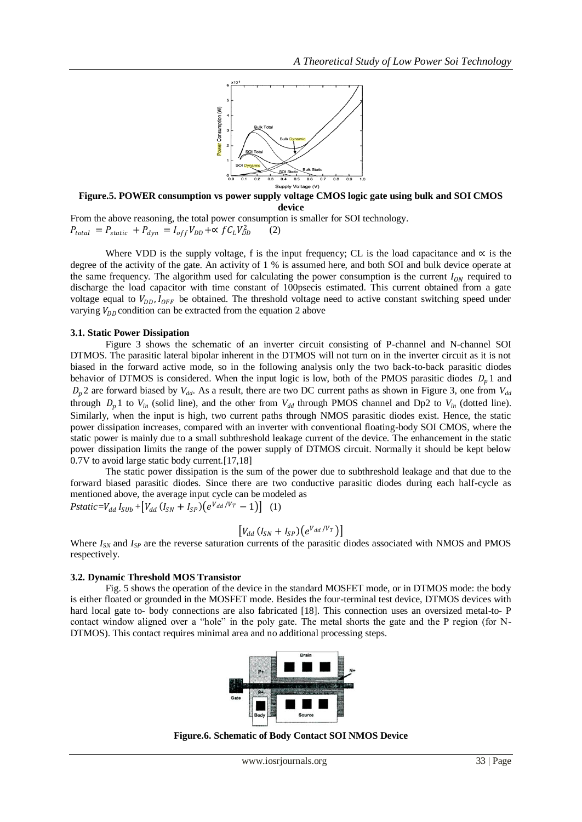

**Figure.5. POWER consumption vs power supply voltage CMOS logic gate using bulk and SOI CMOS device**

From the above reasoning, the total power consumption is smaller for SOI technology.  $P_{total} = P_{static} + P_{dyn} = I_{off} V_{DD} + \propto f C_L V_{DD}^2$ (2)

Where VDD is the supply voltage, f is the input frequency; CL is the load capacitance and  $\alpha$  is the degree of the activity of the gate. An activity of 1 % is assumed here, and both SOI and bulk device operate at the same frequency. The algorithm used for calculating the power consumption is the current  $I_{ON}$  required to discharge the load capacitor with time constant of 100psecis estimated. This current obtained from a gate voltage equal to  $V_{DD}$ ,  $I_{OFF}$  be obtained. The threshold voltage need to active constant switching speed under varying  $V_{DD}$  condition can be extracted from the equation 2 above

#### **3.1. Static Power Dissipation**

Figure 3 shows the schematic of an inverter circuit consisting of P-channel and N-channel SOI DTMOS. The parasitic lateral bipolar inherent in the DTMOS will not turn on in the inverter circuit as it is not biased in the forward active mode, so in the following analysis only the two back-to-back parasitic diodes behavior of DTMOS is considered. When the input logic is low, both of the PMOS parasitic diodes  $D_n 1$  and  $D_n$ 2 are forward biased by  $V_{dd}$ . As a result, there are two DC current paths as shown in Figure 3, one from  $V_{dd}$ through  $D_p$ 1 to  $V_{in}$  (solid line), and the other from  $V_{dd}$  through PMOS channel and Dp2 to  $V_{in}$  (dotted line). Similarly, when the input is high, two current paths through NMOS parasitic diodes exist. Hence, the static power dissipation increases, compared with an inverter with conventional floating-body SOI CMOS, where the static power is mainly due to a small subthreshold leakage current of the device. The enhancement in the static power dissipation limits the range of the power supply of DTMOS circuit. Normally it should be kept below 0.7V to avoid large static body current.[17,18]

The static power dissipation is the sum of the power due to subthreshold leakage and that due to the forward biased parasitic diodes. Since there are two conductive parasitic diodes during each half-cycle as mentioned above, the average input cycle can be modeled as  $Pstatic = V_{dd} I_{SUB} + [V_{dd} (I_{SN} + I_{SP}) (e^{V_{dd}/V_T} - 1)]$  (1)

$$
\left[ V_{dd} \left( I_{SN} + I_{SP} \right) \left( e^{V_{dd}/V_T} \right) \right]
$$

Where  $I_{SN}$  and  $I_{SP}$  are the reverse saturation currents of the parasitic diodes associated with NMOS and PMOS respectively.

#### **3.2. Dynamic Threshold MOS Transistor**

Fig. 5 shows the operation of the device in the standard MOSFET mode, or in DTMOS mode: the body is either floated or grounded in the MOSFET mode. Besides the four-terminal test device, DTMOS devices with hard local gate to- body connections are also fabricated [18]. This connection uses an oversized metal-to- P contact window aligned over a "hole" in the poly gate. The metal shorts the gate and the P region (for N-DTMOS). This contact requires minimal area and no additional processing steps.



**Figure.6. Schematic of Body Contact SOI NMOS Device**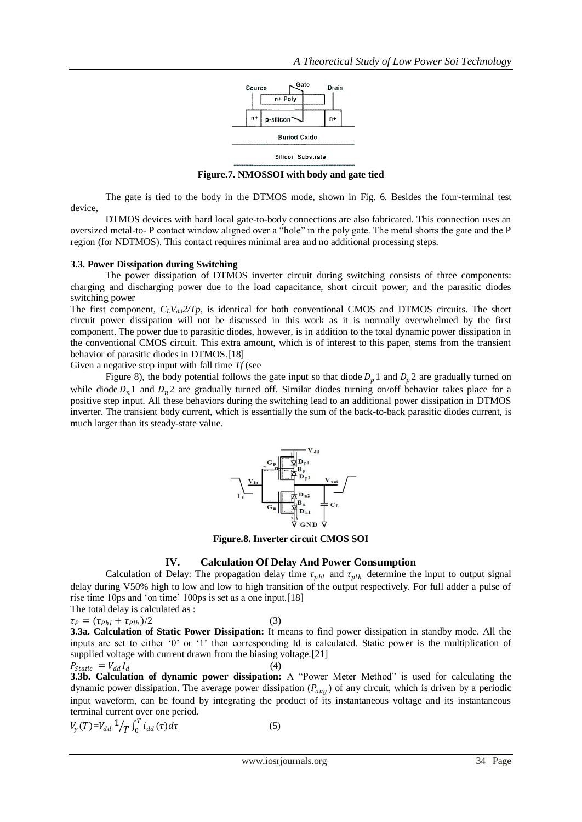

**Figure.7. NMOSSOI with body and gate tied**

The gate is tied to the body in the DTMOS mode, shown in Fig. 6. Besides the four-terminal test device,

DTMOS devices with hard local gate-to-body connections are also fabricated. This connection uses an oversized metal-to- P contact window aligned over a "hole" in the poly gate. The metal shorts the gate and the P region (for NDTMOS). This contact requires minimal area and no additional processing steps.

## **3.3. Power Dissipation during Switching**

The power dissipation of DTMOS inverter circuit during switching consists of three components: charging and discharging power due to the load capacitance, short circuit power, and the parasitic diodes switching power

The first component,  $C_L V_{dd} 2/T_p$ , is identical for both conventional CMOS and DTMOS circuits. The short circuit power dissipation will not be discussed in this work as it is normally overwhelmed by the first component. The power due to parasitic diodes, however, is in addition to the total dynamic power dissipation in the conventional CMOS circuit. This extra amount, which is of interest to this paper, stems from the transient behavior of parasitic diodes in DTMOS.[18]

Given a negative step input with fall time *Tf* (see

Figure 8), the body potential follows the gate input so that diode  $D_n 1$  and  $D_n 2$  are gradually turned on while diode  $D_n$ 1 and  $D_n$ 2 are gradually turned off. Similar diodes turning on/off behavior takes place for a positive step input. All these behaviors during the switching lead to an additional power dissipation in DTMOS inverter. The transient body current, which is essentially the sum of the back-to-back parasitic diodes current, is much larger than its steady-state value.



**Figure.8. Inverter circuit CMOS SOI**

## **IV. Calculation Of Delay And Power Consumption**

Calculation of Delay: The propagation delay time  $\tau_{phl}$  and  $\tau_{plh}$  determine the input to output signal delay during V50% high to low and low to high transition of the output respectively. For full adder a pulse of rise time 10ps and 'on time' 100ps is set as a one input.[18]

The total delay is calculated as :  $\tau_{P} = (\tau_{Phl} + \tau_{Plh})/2$ 

 $)/2$  (3)

**3.3a. Calculation of Static Power Dissipation:** It means to find power dissipation in standby mode. All the inputs are set to either "0" or "1" then corresponding Id is calculated. Static power is the multiplication of supplied voltage with current drawn from the biasing voltage.[21]

$$
P_{static} = V_{dd} I_d \tag{4}
$$

**3.3b. Calculation of dynamic power dissipation:** A "Power Meter Method" is used for calculating the dynamic power dissipation. The average power dissipation  $(P_{avg})$  of any circuit, which is driven by a periodic input waveform, can be found by integrating the product of its instantaneous voltage and its instantaneous terminal current over one period.

$$
V_{y}(T) = V_{dd} \frac{1}{T} \int_{T}^{T} i_{dd}(\tau) d\tau
$$
 (5)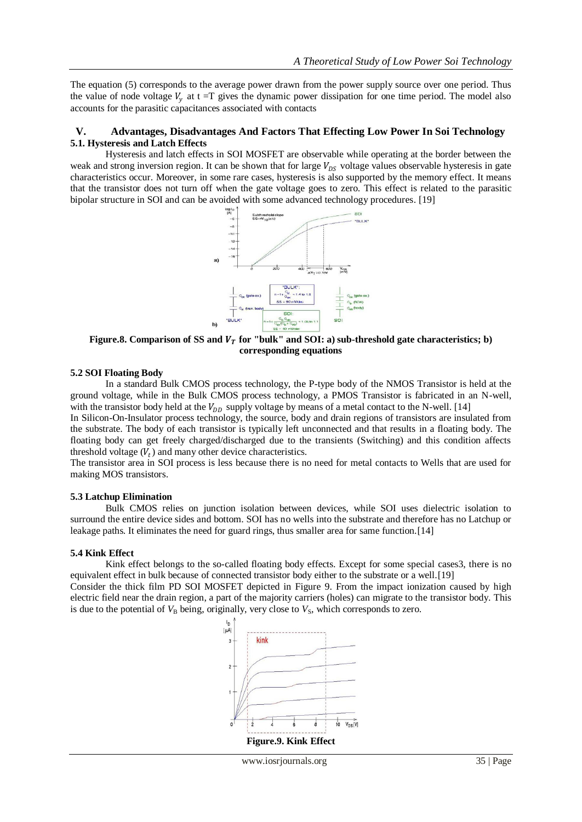The equation (5) corresponds to the average power drawn from the power supply source over one period. Thus the value of node voltage  $V_y$  at t =T gives the dynamic power dissipation for one time period. The model also accounts for the parasitic capacitances associated with contacts

## **V. Advantages, Disadvantages And Factors That Effecting Low Power In Soi Technology 5.1. Hysteresis and Latch Effects**

Hysteresis and latch effects in SOI MOSFET are observable while operating at the border between the weak and strong inversion region. It can be shown that for large  $V_{DS}$  voltage values observable hysteresis in gate characteristics occur. Moreover, in some rare cases, hysteresis is also supported by the memory effect. It means that the transistor does not turn off when the gate voltage goes to zero. This effect is related to the parasitic bipolar structure in SOI and can be avoided with some advanced technology procedures. [19]



Figure.8. Comparison of SS and  $V_T$  for "bulk" and SOI: a) sub-threshold gate characteristics; b) **corresponding equations**

## **5.2 SOI Floating Body**

In a standard Bulk CMOS process technology, the P-type body of the NMOS Transistor is held at the ground voltage, while in the Bulk CMOS process technology, a PMOS Transistor is fabricated in an N-well, with the transistor body held at the  $V_{DD}$  supply voltage by means of a metal contact to the N-well. [14]

In Silicon-On-Insulator process technology, the source, body and drain regions of transistors are insulated from the substrate. The body of each transistor is typically left unconnected and that results in a floating body. The floating body can get freely charged/discharged due to the transients (Switching) and this condition affects threshold voltage  $(V_t)$  and many other device characteristics.

The transistor area in SOI process is less because there is no need for metal contacts to Wells that are used for making MOS transistors.

## **5.3 Latchup Elimination**

Bulk CMOS relies on junction isolation between devices, while SOI uses dielectric isolation to surround the entire device sides and bottom. SOI has no wells into the substrate and therefore has no Latchup or leakage paths. It eliminates the need for guard rings, thus smaller area for same function.[14]

## **5.4 Kink Effect**

Kink effect belongs to the so-called floating body effects. Except for some special cases 3, there is no equivalent effect in bulk because of connected transistor body either to the substrate or a well.[19]

Consider the thick film PD SOI MOSFET depicted in Figure 9. From the impact ionization caused by high electric field near the drain region, a part of the majority carriers (holes) can migrate to the transistor body. This is due to the potential of  $V<sub>B</sub>$  being, originally, very close to  $V<sub>S</sub>$ , which corresponds to zero.

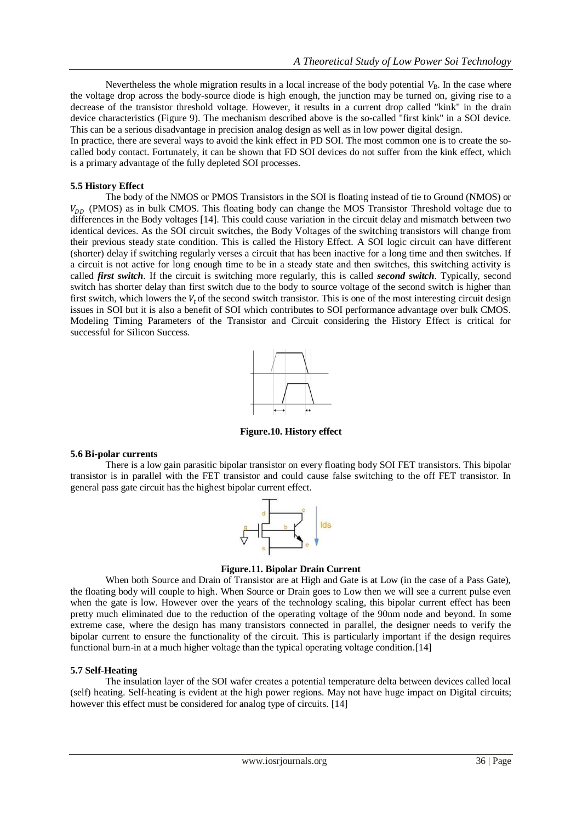Nevertheless the whole migration results in a local increase of the body potential  $V_B$ . In the case where the voltage drop across the body-source diode is high enough, the junction may be turned on, giving rise to a decrease of the transistor threshold voltage. However, it results in a current drop called "kink" in the drain device characteristics (Figure 9). The mechanism described above is the so-called "first kink" in a SOI device. This can be a serious disadvantage in precision analog design as well as in low power digital design.

In practice, there are several ways to avoid the kink effect in PD SOI. The most common one is to create the socalled body contact. Fortunately, it can be shown that FD SOI devices do not suffer from the kink effect, which is a primary advantage of the fully depleted SOI processes.

## **5.5 History Effect**

The body of the NMOS or PMOS Transistors in the SOI is floating instead of tie to Ground (NMOS) or  $V_{DD}$  (PMOS) as in bulk CMOS. This floating body can change the MOS Transistor Threshold voltage due to differences in the Body voltages [14]. This could cause variation in the circuit delay and mismatch between two identical devices. As the SOI circuit switches, the Body Voltages of the switching transistors will change from their previous steady state condition. This is called the History Effect. A SOI logic circuit can have different (shorter) delay if switching regularly verses a circuit that has been inactive for a long time and then switches. If a circuit is not active for long enough time to be in a steady state and then switches, this switching activity is called *first switch*. If the circuit is switching more regularly, this is called *second switch*. Typically, second switch has shorter delay than first switch due to the body to source voltage of the second switch is higher than first switch, which lowers the  $V_t$  of the second switch transistor. This is one of the most interesting circuit design issues in SOI but it is also a benefit of SOI which contributes to SOI performance advantage over bulk CMOS. Modeling Timing Parameters of the Transistor and Circuit considering the History Effect is critical for successful for Silicon Success.



**Figure.10. History effect**

## **5.6 Bi-polar currents**

There is a low gain parasitic bipolar transistor on every floating body SOI FET transistors. This bipolar transistor is in parallel with the FET transistor and could cause false switching to the off FET transistor. In general pass gate circuit has the highest bipolar current effect.



## **Figure.11. Bipolar Drain Current**

When both Source and Drain of Transistor are at High and Gate is at Low (in the case of a Pass Gate), the floating body will couple to high. When Source or Drain goes to Low then we will see a current pulse even when the gate is low. However over the years of the technology scaling, this bipolar current effect has been pretty much eliminated due to the reduction of the operating voltage of the 90nm node and beyond. In some extreme case, where the design has many transistors connected in parallel, the designer needs to verify the bipolar current to ensure the functionality of the circuit. This is particularly important if the design requires functional burn-in at a much higher voltage than the typical operating voltage condition.[14]

## **5.7 Self-Heating**

The insulation layer of the SOI wafer creates a potential temperature delta between devices called local (self) heating. Self-heating is evident at the high power regions. May not have huge impact on Digital circuits; however this effect must be considered for analog type of circuits. [14]